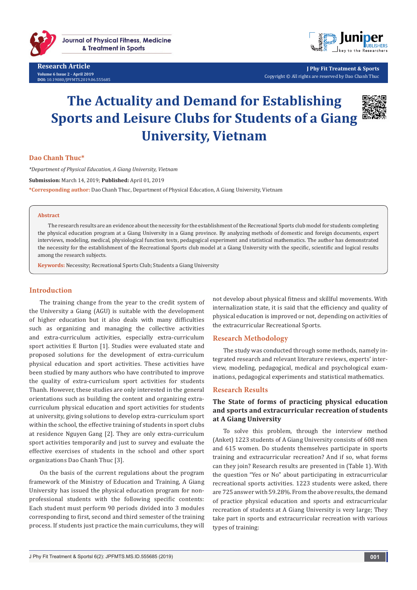

**Research Article Volume 6 Issue 2 - April 2019 DOI:** [10.19080/JPFMTS.2019.06.555685](http://dx.doi.org/10.19080/JPFMTS.2019.06.555685)



**J Phy Fit Treatment & Sports** Copyright © All rights are reserved by Dao Chanh Thuc

# **The Actuality and Demand for Establishing Sports and Leisure Clubs for Students of a Giang University, Vietnam**



## **Dao Chanh Thuc\***

*\*Department of Physical Education, A Giang University, Vietnam*

**Submission:** March 14, 2019; **Published:** April 01, 2019

**\*Corresponding author:** Dao Chanh Thuc, Department of Physical Education, A Giang University, Vietnam

#### **Abstract**

The research results are an evidence about the necessity for the establishment of the Recreational Sports club model for students completing the physical education program at a Giang University in a Giang province. By analyzing methods of domestic and foreign documents, expert interviews, modeling, medical, physiological function tests, pedagogical experiment and statistical mathematics. The author has demonstrated the necessity for the establishment of the Recreational Sports club model at a Giang University with the specific, scientific and logical results among the research subjects.

**Keywords:** Necessity; Recreational Sports Club; Students a Giang University

## **Introduction**

The training change from the year to the credit system of the University a Giang (AGU) is suitable with the development of higher education but it also deals with many difficulties such as organizing and managing the collective activities and extra-curriculum activities, especially extra-curriculum sport activities E Burton [1]. Studies were evaluated state and proposed solutions for the development of extra-curriculum physical education and sport activities. These activities have been studied by many authors who have contributed to improve the quality of extra-curriculum sport activities for students Thanh. However, these studies are only interested in the general orientations such as building the content and organizing extracurriculum physical education and sport activities for students at university, giving solutions to develop extra-curriculum sport within the school, the effective training of students in sport clubs at residence Nguyen Gang [2]. They are only extra-curriculum sport activities temporarily and just to survey and evaluate the effective exercises of students in the school and other sport organizations Dao Chanh Thuc [3].

On the basis of the current regulations about the program framework of the Ministry of Education and Training, A Giang University has issued the physical education program for nonprofessional students with the following specific contents: Each student must perform 90 periods divided into 3 modules corresponding to first, second and third semester of the training process. If students just practice the main curriculums, they will not develop about physical fitness and skillful movements. With internalization state, it is said that the efficiency and quality of physical education is improved or not, depending on activities of the extracurricular Recreational Sports.

#### **Research Methodology**

The study was conducted through some methods, namely integrated research and relevant literature reviews, experts' interview, modeling, pedagogical, medical and psychological examinations, pedagogical experiments and statistical mathematics.

#### **Research Results**

## **The State of forms of practicing physical education and sports and extracurricular recreation of students at A Giang University**

To solve this problem, through the interview method (Anket) 1223 students of A Giang University consists of 608 men and 615 women. Do students themselves participate in sports training and extracurricular recreation? And if so, what forms can they join? Research results are presented in (Table 1). With the question "Yes or No" about participating in extracurricular recreational sports activities. 1223 students were asked, there are 725 answer with 59.28%. From the above results, the demand of practice physical education and sports and extracurricular recreation of students at A Giang University is very large; They take part in sports and extracurricular recreation with various types of training: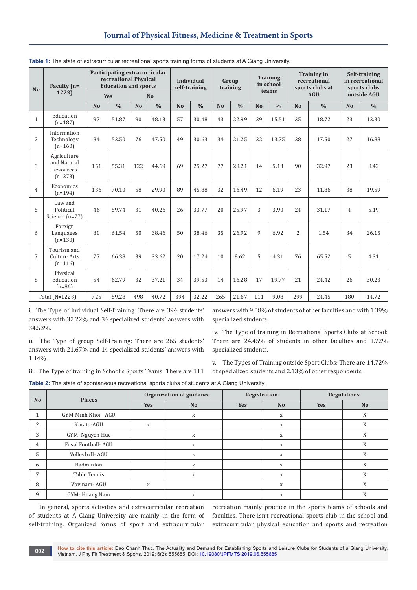| <b>No</b>      | Faculty (n=<br>1223)                                 |           | Participating extracurricular<br>recreational Physical<br><b>Education and sports</b><br>Yes | N <sub>o</sub> |               | <b>Individual</b><br>self-training | Group<br>training |                | <b>Training</b><br>in school<br>teams |                |               | <b>Training in</b><br>recreational<br>sports clubs at<br><b>AGU</b> | Self-training<br>in recreational<br>sports clubs<br>outside AGU |           |               |
|----------------|------------------------------------------------------|-----------|----------------------------------------------------------------------------------------------|----------------|---------------|------------------------------------|-------------------|----------------|---------------------------------------|----------------|---------------|---------------------------------------------------------------------|-----------------------------------------------------------------|-----------|---------------|
|                |                                                      | <b>No</b> | $\frac{0}{0}$                                                                                | <b>No</b>      | $\frac{0}{0}$ | N <sub>o</sub>                     | $\frac{0}{0}$     | N <sub>o</sub> | $\frac{0}{0}$                         | N <sub>o</sub> | $\frac{0}{0}$ | N <sub>o</sub>                                                      | $\frac{0}{0}$                                                   | <b>No</b> | $\frac{0}{0}$ |
| $\mathbf{1}$   | Education<br>$(n=187)$                               | 97        | 51.87                                                                                        | 90             | 48.13         | 57                                 | 30.48             | 43             | 22.99                                 | 29             | 15.51         | 35                                                                  | 18.72                                                           | 23        | 12.30         |
| $\overline{2}$ | Information<br>Technology<br>$(n=160)$               | 84        | 52.50                                                                                        | 76             | 47.50         | 49                                 | 30.63             | 34             | 21.25                                 | 22             | 13.75         | 28                                                                  | 17.50                                                           | 27        | 16.88         |
| 3              | Agriculture<br>and Natural<br>Resources<br>$(n=273)$ | 151       | 55.31                                                                                        | 122            | 44.69         | 69                                 | 25.27             | 77             | 28.21                                 | 14             | 5.13          | 90                                                                  | 32.97                                                           | 23        | 8.42          |
| $\overline{4}$ | Economics<br>$(n=194)$                               | 136       | 70.10                                                                                        | 58             | 29.90         | 89                                 | 45.88             | 32             | 16.49                                 | 12             | 6.19          | 23                                                                  | 11.86                                                           | 38        | 19.59         |
| 5              | Law and<br>Political<br>Science $(n=77)$             | 46        | 59.74                                                                                        | 31             | 40.26         | 26                                 | 33.77             | 20             | 25.97                                 | 3              | 3.90          | 24                                                                  | 31.17                                                           | 4         | 5.19          |
| 6              | Foreign<br>Languages<br>$(n=130)$                    | 80        | 61.54                                                                                        | 50             | 38.46         | 50                                 | 38.46             | 35             | 26.92                                 | 9              | 6.92          | $\overline{2}$                                                      | 1.54                                                            | 34        | 26.15         |
| $\overline{7}$ | Tourism and<br>Culture Arts<br>$(n=116)$             | 77        | 66.38                                                                                        | 39             | 33.62         | 20                                 | 17.24             | 10             | 8.62                                  | 5              | 4.31          | 76                                                                  | 65.52                                                           | 5         | 4.31          |
| 8              | Physical<br>Education<br>$(n=86)$                    | 54        | 62.79                                                                                        | 32             | 37.21         | 34                                 | 39.53             | 14             | 16.28                                 | 17             | 19.77         | 21                                                                  | 24.42                                                           | 26        | 30.23         |
|                | Total (N=1223)                                       | 725       | 59.28                                                                                        | 498            | 40.72         | 394                                | 32.22             | 265            | 21.67                                 | 111            | 9.08          | 299                                                                 | 24.45                                                           | 180       | 14.72         |

|  | Table 1: The state of extracurricular recreational sports training forms of students at A Giang University. |  |  |  |  |
|--|-------------------------------------------------------------------------------------------------------------|--|--|--|--|
|  |                                                                                                             |  |  |  |  |

i. The Type of Individual Self-Training: There are 394 students' answers with 32.22% and 34 specialized students' answers with 34.53%.

ii. The Type of group Self-Training: There are 265 students' answers with 21.67% and 14 specialized students' answers with 1.14%.

iii. The Type of training in School's Sports Teams: There are 111

answers with 9.08% of students of other faculties and with 1.39% specialized students.

iv. The Type of training in Recreational Sports Clubs at School: There are 24.45% of students in other faculties and 1.72% specialized students.

v. The Types of Training outside Sport Clubs: There are 14.72% of specialized students and 2.13% of other respondents.

**Table 2:** The state of spontaneous recreational sports clubs of students at A Giang University.

|                | <b>Places</b>       |            | Organization of guidance | Registration |                           | <b>Regulations</b> |           |  |
|----------------|---------------------|------------|--------------------------|--------------|---------------------------|--------------------|-----------|--|
| N <sub>o</sub> |                     | <b>Yes</b> | N <sub>o</sub>           | <b>Yes</b>   | <b>No</b>                 | <b>Yes</b>         | <b>No</b> |  |
|                | GYM-Minh Khôi - AGU |            | X                        |              | X                         |                    | X         |  |
| $\overline{2}$ | Karate-AGU          | X          |                          |              | $\boldsymbol{\mathrm{X}}$ |                    | X         |  |
| 3              | GYM-Nguyen Hue      |            | X                        |              | X                         |                    | X         |  |
| 4              | Fusal Football-AGU  |            | X                        |              | X                         |                    | X         |  |
| 5              | Volleyball- AGU     |            | $\mathbf X$              |              | X                         |                    | X         |  |
| 6              | Badminton           |            | X                        |              | X                         |                    | X         |  |
| 7              | Table Tennis        |            | X                        |              | X                         |                    | X         |  |
| 8              | Vovinam-AGU         | X          |                          |              | X                         |                    | X         |  |
| 9              | GYM-Hoang Nam       |            | X                        |              | X                         |                    | X         |  |

In general, sports activities and extracurricular recreation of students at A Giang University are mainly in the form of self-training. Organized forms of sport and extracurricular

recreation mainly practice in the sports teams of schools and faculties. There isn't recreational sports club in the school and extracurricular physical education and sports and recreation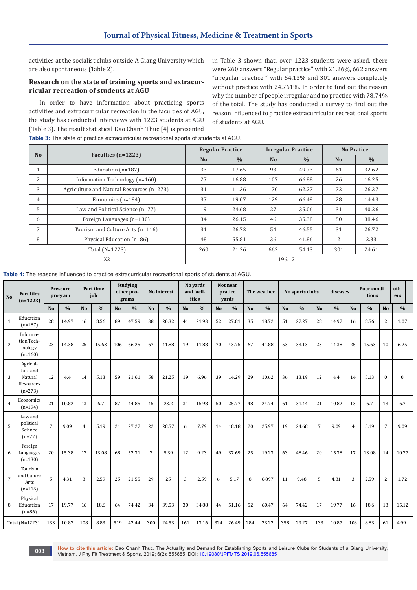activities at the socialist clubs outside A Giang University which are also spontaneous (Table 2).

#### **Research on the state of training sports and extracurricular recreation of students at AGU**

In order to have information about practicing sports activities and extracurricular recreation in the faculties of AGU, the study has conducted interviews with 1223 students at AGU (Table 3). The result statistical Dao Chanh Thuc [4] is presented

in Table 3 shown that, over 1223 students were asked, there were 260 answers "Regular practice" with 21.26%, 662 answers "irregular practice " with 54.13% and 301 answers completely without practice with 24.761%. In order to find out the reason why the number of people irregular and no practice with 78.74% of the total. The study has conducted a survey to find out the reason influenced to practice extracurricular recreational sports of students at AGU.

| N <sub>0</sub> |                                           | <b>Regular Practice</b> |               | <b>Irregular Practice</b> |               | <b>No Pratice</b> |               |  |
|----------------|-------------------------------------------|-------------------------|---------------|---------------------------|---------------|-------------------|---------------|--|
|                | Faculties $(n=1223)$                      | N <sub>o</sub>          | $\frac{0}{0}$ | N <sub>o</sub>            | $\frac{0}{0}$ | N <sub>o</sub>    | $\frac{0}{0}$ |  |
| 1              | Education $(n=187)$                       | 33                      | 17.65         | 93                        | 49.73         | 61                | 32.62         |  |
| 2              | Information Technology (n=160)            | 27                      | 16.88         | 107                       | 66.88         | 26                | 16.25         |  |
| 3              | Agriculture and Natural Resources (n=273) | 31                      | 11.36         | 170                       | 62.27         | 72                | 26.37         |  |
| 4              | Economics $(n=194)$                       | 37                      | 19.07         | 129                       | 66.49         | 28                | 14.43         |  |
| 5              | Law and Political Science (n=77)          | 19                      | 24.68         | 27                        | 35.06         | 31                | 40.26         |  |
| 6              | Foreign Languages (n=130)                 | 34                      | 26.15         | 46                        | 35.38         | 50                | 38.46         |  |
| 7              | Tourism and Culture Arts (n=116)          | 31                      | 26.72         | 54                        | 46.55         | 31                | 26.72         |  |
| 8              | Physical Education (n=86)                 | 48                      | 55.81         | 36                        | 41.86         | $\overline{2}$    | 2.33          |  |
|                | Total (N=1223)                            | 260                     | 21.26         | 662                       | 54.13         | 301               | 24.61         |  |
|                | X <sub>2</sub>                            |                         |               | 196.12                    |               |                   |               |  |

**Table 3:** The state of practice extracurricular recreational sports of students at AGU.

**Table 4:** The reasons influenced to practice extracurricular recreational sports of students at AGU.

| <b>No</b>      | <b>Faculties</b><br>$(n=1223)$                            |                | Pressure<br>program |                | Part time<br>job |           | <b>Studying</b><br>other pro-<br>grams |                | No interest   |                | No vards<br>and facil-<br>ities |                | Not near<br>pratice<br>yards |                | The weather   |                | No sports clubs |                | diseases      |                | Poor condi-<br>tions |                | oth-<br>ers   |
|----------------|-----------------------------------------------------------|----------------|---------------------|----------------|------------------|-----------|----------------------------------------|----------------|---------------|----------------|---------------------------------|----------------|------------------------------|----------------|---------------|----------------|-----------------|----------------|---------------|----------------|----------------------|----------------|---------------|
|                |                                                           | N <sub>o</sub> | $\frac{0}{0}$       | N <sub>o</sub> | $\frac{0}{0}$    | <b>No</b> | $\frac{0}{0}$                          | N <sub>o</sub> | $\frac{0}{0}$ | N <sub>o</sub> | $\frac{0}{0}$                   | N <sub>o</sub> | $\frac{0}{0}$                | N <sub>o</sub> | $\frac{0}{0}$ | N <sub>o</sub> | $\frac{0}{0}$   | <b>No</b>      | $\frac{0}{0}$ | <b>No</b>      | $\frac{0}{0}$        | N <sub>o</sub> | $\frac{0}{0}$ |
| 1              | Education<br>$(n=187)$                                    | 28             | 14.97               | 16             | 8.56             | 89        | 47.59                                  | 38             | 20.32         | 41             | 21.93                           | 52             | 27.81                        | 35             | 18.72         | 51             | 27.27           | 28             | 14.97         | 16             | 8.56                 | $\overline{2}$ | 1.07          |
| 2              | Informa-<br>tion Tech-<br>nology<br>$(n=160)$             | 23             | 14.38               | 25             | 15.63            | 106       | 66.25                                  | 67             | 41.88         | 19             | 11.88                           | 70             | 43.75                        | 67             | 41.88         | 53             | 33.13           | 23             | 14.38         | 25             | 15.63                | 10             | 6.25          |
| 3              | Agricul-<br>ture and<br>Natural<br>Resources<br>$(n=273)$ | 12             | 4.4                 | 14             | 5.13             | 59        | 21.61                                  | 58             | 21.25         | 19             | 6.96                            | 39             | 14.29                        | 29             | 10.62         | 36             | 13.19           | 12             | 4.4           | 14             | 5.13                 | $\mathbf{0}$   | $\mathbf{0}$  |
| $\overline{4}$ | Economics<br>$(n=194)$                                    | 21             | 10.82               | 13             | 6.7              | 87        | 44.85                                  | 45             | 23.2          | 31             | 15.98                           | 50             | 25.77                        | 48             | 24.74         | 61             | 31.44           | 21             | 10.82         | 13             | 6.7                  | 13             | 6.7           |
| 5              | Law and<br>political<br>Science<br>$(n=77)$               | $\overline{7}$ | 9.09                | $\overline{4}$ | 5.19             | 21        | 27.27                                  | 22             | 28.57         | 6              | 7.79                            | 14             | 18.18                        | 20             | 25.97         | 19             | 24.68           | $\overline{7}$ | 9.09          | $\overline{4}$ | 5.19                 | $\overline{7}$ | 9.09          |
| 6              | Foreign<br>Languages<br>$(n=130)$                         | 20             | 15.38               | 17             | 13.08            | 68        | 52.31                                  | $\overline{7}$ | 5.39          | 12             | 9.23                            | 49             | 37.69                        | 25             | 19.23         | 63             | 48.46           | 20             | 15.38         | 17             | 13.08                | 14             | 10.77         |
| $\overline{7}$ | Tourism<br>and Cuture<br>Arts<br>$(n=116)$                | 5              | 4.31                | 3              | 2.59             | 25        | 21.55                                  | 29             | 25            | 3              | 2.59                            | 6              | 5.17                         | 8              | 6.897         | 11             | 9.48            | 5              | 4.31          | 3              | 2.59                 | 2              | 1.72          |
| 8              | Physical<br>Education<br>$(n=86)$                         | 17             | 19.77               | 16             | 18.6             | 64        | 74.42                                  | 34             | 39.53         | 30             | 34.88                           | 44             | 51.16                        | 52             | 60.47         | 64             | 74.42           | 17             | 19.77         | 16             | 18.6                 | 13             | 15.12         |
|                | Total (N=1223)                                            | 133            | 10.87               | 108            | 8.83             | 519       | 42.44                                  | 300            | 24.53         | 161            | 13.16                           | 324            | 26.49                        | 284            | 23.22         | 358            | 29.27           | 133            | 10.87         | 108            | 8.83                 | 61             | 4.99          |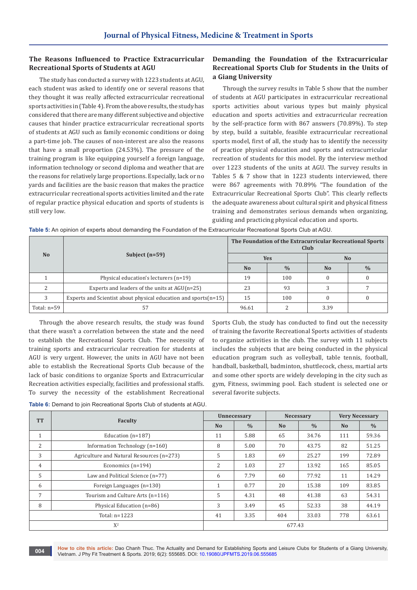## **The Reasons Influenced to Practice Extracurricular Recreational Sports of Students at AGU**

The study has conducted a survey with 1223 students at AGU, each student was asked to identify one or several reasons that they thought it was really affected extracurricular recreational sports activities in (Table 4). From the above results, the study has considered that there are many different subjective and objective causes that hinder practice extracurricular recreational sports of students at AGU such as family economic conditions or doing a part-time job. The causes of non-interest are also the reasons that have a small proportion (24.53%). The pressure of the training program is like equipping yourself a foreign language, information technology or second diploma and weather that are the reasons for relatively large proportions. Especially, lack or no yards and facilities are the basic reason that makes the practice extracurricular recreational sports activities limited and the rate of regular practice physical education and sports of students is still very low.

## **Demanding the Foundation of the Extracurricular Recreational Sports Club for Students in the Units of a Giang University**

Through the survey results in Table 5 show that the number of students at AGU participates in extracurricular recreational sports activities about various types but mainly physical education and sports activities and extracurricular recreation by the self-practice form with 867 answers (70.89%). To step by step, build a suitable, feasible extracurricular recreational sports model, first of all, the study has to identify the necessity of practice physical education and sports and extracurricular recreation of students for this model. By the interview method over 1223 students of the units at AGU. The survey results in Tables 5 & 7 show that in 1223 students interviewed, there were 867 agreements with 70.89% "The foundation of the Extracurricular Recreational Sports Club". This clearly reflects the adequate awareness about cultural spirit and physical fitness training and demonstrates serious demands when organizing, guiding and practicing physical education and sports.

|                |                                                                    | The Foundation of the Extracurricular Recreational Sports<br>Club |               |                |               |  |  |  |  |
|----------------|--------------------------------------------------------------------|-------------------------------------------------------------------|---------------|----------------|---------------|--|--|--|--|
| N <sub>o</sub> | Subject $(n=59)$                                                   |                                                                   | <b>Yes</b>    | N <sub>o</sub> |               |  |  |  |  |
|                |                                                                    | N <sub>o</sub>                                                    | $\frac{0}{0}$ | N <sub>0</sub> | $\frac{0}{0}$ |  |  |  |  |
|                | Physical education's lecturers (n=19)                              | 19                                                                | 100           |                |               |  |  |  |  |
|                | Experts and leaders of the units at $AGU(n=25)$                    | 23                                                                | 93            |                |               |  |  |  |  |
|                | Experts and Scientist about physical education and sports $(n=15)$ | 15                                                                | 100           |                |               |  |  |  |  |
| Total: $n=59$  | 57                                                                 | 96.61                                                             |               | 3.39           |               |  |  |  |  |

**Table 5:** An opinion of experts about demanding the Foundation of the Extracurricular Recreational Sports Club at AGU.

Through the above research results, the study was found that there wasn't a correlation between the state and the need to establish the Recreational Sports Club. The necessity of training sports and extracurricular recreation for students at AGU is very urgent. However, the units in AGU have not been able to establish the Recreational Sports Club because of the lack of basic conditions to organize Sports and Extracurricular Recreation activities especially, facilities and professional staffs. To survey the necessity of the establishment Recreational

Sports Club, the study has conducted to find out the necessity of training the favorite Recreational Sports activities of students to organize activities in the club. The survey with 11 subjects includes the subjects that are being conducted in the physical education program such as volleyball, table tennis, football, handball, basketball, badminton, shuttlecock, chess, martial arts and some other sports are widely developing in the city such as gym, Fitness, swimming pool. Each student is selected one or several favorite subjects.

**Table 6:** Demand to join Recreational Sports Club of students at AGU.

| <b>TT</b>      |                                           |                | Unnecessary   | Necessary      |               | <b>Very Necessary</b> |               |  |
|----------------|-------------------------------------------|----------------|---------------|----------------|---------------|-----------------------|---------------|--|
|                | Faculty                                   | N <sub>o</sub> | $\frac{0}{0}$ | N <sub>o</sub> | $\frac{0}{0}$ | N <sub>o</sub>        | $\frac{0}{0}$ |  |
| $\mathbf{1}$   | Education $(n=187)$                       | 11             | 5.88          | 65             | 34.76         | 111                   | 59.36         |  |
| 2              | Information Technology (n=160)            | 8              | 5.00          | 70             | 43.75         | 82                    | 51.25         |  |
| 3              | Agriculture and Natural Resources (n=273) | 5              | 1.83          | 69             | 25.27         | 199                   | 72.89         |  |
| $\overline{4}$ | Economics $(n=194)$                       | 2              | 1.03          | 27             | 13.92         | 165                   | 85.05         |  |
| 5              | Law and Political Science (n=77)          | 6              | 7.79          | 60             | 77.92         | 11                    | 14.29         |  |
| 6              | Foreign Languages (n=130)                 | 1              | 0.77          | 20             | 15.38         | 109                   | 83.85         |  |
| 7              | Tourism and Culture Arts (n=116)          | 5              | 4.31          | 48             | 41.38         | 63                    | 54.31         |  |
| 8              | Physical Education (n=86)                 | 3              | 3.49          | 45             | 52.33         | 38                    | 44.19         |  |
|                | Total: $n=1223$                           | 41             | 3.35          | 404            | 33.03         | 778                   | 63.61         |  |
|                | $X^2$                                     |                |               | 677.43         |               |                       |               |  |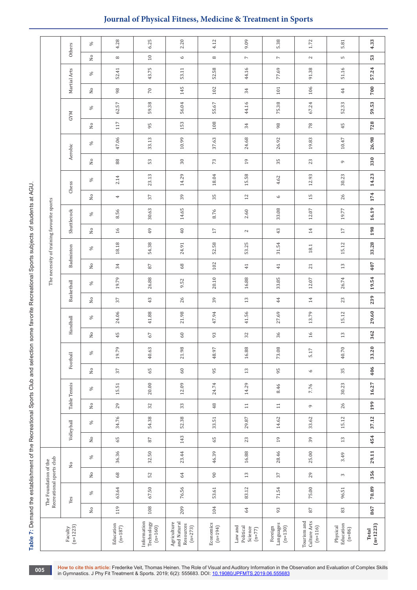Table 7: Demand the establishment of the Recreational Sports Club and selection some favorite Recreational Sports subjects of students at AGU. **Table 7:** Demand the establishment of the Recreational Sports Club and selection some favorite Recreational Sports subjects of students at AGU.

|                                            | Others                | S,                        | 4.28                     | 6.25                                                                                | 2.20                                                 | 4.12                   | 9.09                                        | 5.38                              | 1.72                                     | 5.81                              | 4.33                |
|--------------------------------------------|-----------------------|---------------------------|--------------------------|-------------------------------------------------------------------------------------|------------------------------------------------------|------------------------|---------------------------------------------|-----------------------------------|------------------------------------------|-----------------------------------|---------------------|
|                                            |                       | $\rm _{No}$               | $^\infty$                | $10\,$                                                                              | $\circ$                                              | $^\infty$              | $\overline{\phantom{a}}$                    | $\overline{\phantom{a}}$          | $\mathbf{z}$                             | S                                 | 53                  |
|                                            | Martial Arts          | S,                        | 52.41                    | 43.75                                                                               | 53.11                                                | 52.58                  | 44.16                                       | 77.69                             | 91.38                                    | 51.16                             | 57.24               |
|                                            |                       | $\rm _{No}$               | 98                       | $70\,$                                                                              | 145                                                  | 102                    | 34                                          | $101\,$                           | 106                                      | 44                                | 700                 |
|                                            | <b>GYM</b>            | $\%$                      | 62.57                    | 59.38                                                                               | 56.04                                                | 55.67                  | 44.16                                       | 75.38                             | 67.24                                    | 52.33                             | 59.53               |
|                                            |                       | $\rm _{No}$               | 117                      | 95                                                                                  | 153                                                  | 108                    | 34                                          | $98$                              | $78\,$                                   | 45                                | 728                 |
|                                            | Aerobic               | $\%$                      | 47.06                    | 33.13                                                                               | 10.99                                                | 37.63                  | 24.68                                       | 26.92                             | 19.83                                    | $10.47\,$                         | 26.98               |
|                                            |                       | $\rm _{No}$               | $_{\rm 88}$              | 53                                                                                  | $30\,$                                               | 73                     | 19                                          | 35                                | 23                                       | $\circ$                           | 330                 |
|                                            | Chess                 | S,                        | 2.14                     | 23.13                                                                               | 14.29                                                | $18.04\,$              | 15.58                                       | 4.62                              | 12.93                                    | 30.23                             | 14.23               |
|                                            |                       | $\rm _{No}$               | 4                        | $\sqrt{2}$                                                                          | 39                                                   | $35\,$                 | 12                                          | $\circ$                           | 15                                       | 26                                | 174                 |
|                                            | Shuttlecock           | S,                        | 8.56                     | 30.63                                                                               | 14.65                                                | 8.76                   | 2.60                                        | 33.08                             | 12.07                                    | 19.77                             | 16.19               |
|                                            |                       | $\rm _{N}^{\circ}$        | 16                       | 49                                                                                  | $40$                                                 | $17\,$                 | $\sim$                                      | $43$                              | $14\,$                                   | $17\,$                            | 198                 |
| The necessity of training favourite sports | Badminton             | $\%$                      | 18.18                    | 54.38                                                                               | 24.91                                                | 52.58                  | 53.25                                       | 31.54                             | $18.1\,$                                 | 15.12                             | 33.28               |
|                                            |                       | $\rm _{No}$               | 34                       | $\rm 87$                                                                            | $68$                                                 | 102                    | 41                                          | $4\sqrt{1}$                       | 21                                       | $13\,$                            | 407                 |
|                                            | Basketball            | $\%$                      | 19.79                    | 26.88                                                                               | 9.52                                                 | 20.10                  | 16.88                                       | 33.85                             | $12.07$                                  | 26.74                             | 19.54               |
|                                            |                       | $\rm _{No}$               | 37                       | 43                                                                                  | 26                                                   | 39                     | 13                                          | $\;$ 44 $\;$                      | $14\,$                                   | 23                                | 239                 |
|                                            | Handball              | S,                        | 24.06                    | 41.88                                                                               | 21.98                                                | 47.94                  | 41.56                                       | 27.69                             | 13.79                                    | 15.12                             | 29.60               |
|                                            |                       | $\rm _{No}$               | 45                       | 67                                                                                  | $60\,$                                               | 93                     | 32                                          | $36\,$                            | $16$                                     | $13\,$                            | 362                 |
|                                            | Football              | $\%$                      | 19.79                    | 40.63                                                                               | 21.98                                                | 48.97                  | 16.88                                       | 73.08                             | 5.17                                     | 40.70                             | 33.20               |
|                                            |                       | $\rm _{No}$               | 37                       | $65$                                                                                | $60\,$                                               | 95                     | $13\,$                                      | 95                                | $\mathsf \circ$                          | 35                                | 406                 |
|                                            | Table Tennis          | S,                        | 15.51                    | 20.00                                                                               | 12.09                                                | 24.74                  | 14.29                                       | 8.46                              | 7.76                                     | 30.23                             | 16.27               |
|                                            |                       | $\rm _{No}$               | 29                       | 32                                                                                  | 33                                                   | 48                     | 11                                          | $\Xi$                             | $\mathbf{\sigma}$                        | 26                                | 199                 |
|                                            | Volleyball            | S,                        | 34.76                    | 54.38                                                                               | 52.38                                                | 33.51                  | 29.87                                       | 14.62                             | 33.62                                    | 15.12                             | 37.12               |
|                                            |                       | $\rm _{No}$               | $65$                     | $_{\rm 87}$                                                                         | 143                                                  | $65$                   | 23                                          | $19$                              | 39                                       | $13\,$                            | 454                 |
|                                            | $\rm _{No}$           | $\%$                      | 36.36                    | 32.50                                                                               | 23.44                                                | 46.39                  | 16.88                                       | 28.46                             | 25.00                                    | 3.49                              | 29.11               |
| The Foundation of the                      |                       | $\rm _{N0}$               | $68\,$                   | 52                                                                                  | $\mathcal{Q}$                                        | $90\,$                 | $13\,$                                      | $37\,$                            | 29                                       | $\sim$                            | 356                 |
| Recreational sports club                   | Yes                   | S,                        | 63.64                    | 67.50                                                                               | 76.56                                                | 53.61                  | 83.12                                       | 71.54                             | 75.00                                    | 96.51                             | 70.89               |
|                                            |                       | $\overline{\mathsf{N}}$ o | 119                      | 108                                                                                 | 209                                                  | 104                    | 64                                          | 93                                | $_{\rm 87}$                              | $\rm g3$                          | 867                 |
|                                            | $(n=1223)$<br>Faculty |                           | Education<br>$(n = 187)$ | Information<br>$\begin{array}{c} \rm{Technology} \\ \rm{(}n=160 \rm{)} \end{array}$ | and Natural<br>Agriculture<br>Resources<br>$(n=273)$ | Economics<br>$(n=194)$ | Law and<br>Political<br>Science<br>$(n=77)$ | Languages<br>$(n=130)$<br>Foreign | Tourism and<br>Culture Arts<br>$(n=116)$ | Education<br>Physical<br>$(n=86)$ | $(n=1223)$<br>Total |

## **Journal of Physical Fitness, Medicine & Treatment in Sports**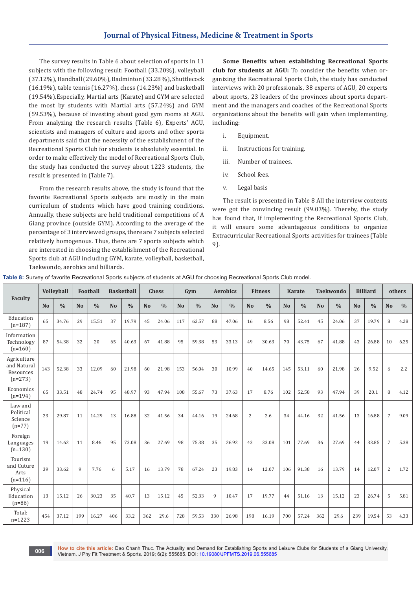The survey results in Table 6 about selection of sports in 11 subjects with the following result: Football (33.20%), volleyball (37.12%), Handball (29.60%), Badminton (33.28 %), Shuttlecock (16.19%), table tennis (16.27%), chess (14.23%) and basketball (19.54%).Especially, Martial arts (Karate) and GYM are selected the most by students with Martial arts (57.24%) and GYM (59.53%), because of investing about good gym rooms at AGU. From analyzing the research results (Table 6), Experts' AGU, scientists and managers of culture and sports and other sports departments said that the necessity of the establishment of the Recreational Sports Club for students is absolutely essential. In order to make effectively the model of Recreational Sports Club, the study has conducted the survey about 1223 students, the result is presented in (Table 7).

From the research results above, the study is found that the favorite Recreational Sports subjects are mostly in the main curriculum of students which have good training conditions. Annually, these subjects are held traditional competitions of A Giang province (outside GYM). According to the average of the percentage of 3 interviewed groups, there are 7 subjects selected relatively homogenous. Thus, there are 7 sports subjects which are interested in choosing the establishment of the Recreational Sports club at AGU including GYM, karate, volleyball, basketball, Taekwondo, aerobics and billiards.

**Some Benefits when establishing Recreational Sports club for students at AGU:** To consider the benefits when organizing the Recreational Sports Club, the study has conducted interviews with 20 professionals, 38 experts of AGU, 20 experts about sports, 23 leaders of the provinces about sports department and the managers and coaches of the Recreational Sports organizations about the benefits will gain when implementing, including:

- i. Equipment.
- ii. Instructions for training.
- iii. Number of trainees.
- iv. School fees.
- v. Legal basis

The result is presented in Table 8 All the interview contents were got the convincing result (99.03%). Thereby, the study has found that, if implementing the Recreational Sports Club, it will ensure some advantageous conditions to organize Extracurricular Recreational Sports activities for trainees (Table 9).

|                                                      |           | Volleyball    |                | <b>Football</b> |                | <b>Basketball</b> |                | <b>Chess</b>  |                | Gym           |                | <b>Aerobics</b> |                | <b>Fitness</b> |           | <b>Karate</b> |                | <b>Taekwondo</b> |                | <b>Billiard</b> |                | others        |
|------------------------------------------------------|-----------|---------------|----------------|-----------------|----------------|-------------------|----------------|---------------|----------------|---------------|----------------|-----------------|----------------|----------------|-----------|---------------|----------------|------------------|----------------|-----------------|----------------|---------------|
| <b>Faculty</b>                                       | <b>No</b> | $\frac{0}{0}$ | N <sub>o</sub> | $\frac{0}{0}$   | N <sub>o</sub> | $\frac{0}{0}$     | N <sub>o</sub> | $\frac{0}{0}$ | N <sub>o</sub> | $\frac{0}{0}$ | N <sub>o</sub> | $\frac{0}{0}$   | N <sub>o</sub> | $\frac{0}{0}$  | <b>No</b> | $\frac{0}{0}$ | N <sub>o</sub> | $\frac{0}{0}$    | N <sub>o</sub> | $\frac{0}{0}$   | <b>No</b>      | $\frac{0}{0}$ |
| Education<br>$(n=187)$                               | 65        | 34.76         | 29             | 15.51           | 37             | 19.79             | 45             | 24.06         | 117            | 62.57         | 88             | 47.06           | 16             | 8.56           | 98        | 52.41         | 45             | 24.06            | 37             | 19.79           | 8              | 4.28          |
| Information<br>Technology<br>$(n=160)$               | 87        | 54.38         | 32             | 20              | 65             | 40.63             | 67             | 41.88         | 95             | 59.38         | 53             | 33.13           | 49             | 30.63          | 70        | 43.75         | 67             | 41.88            | 43             | 26.88           | 10             | 6.25          |
| Agriculture<br>and Natural<br>Resources<br>$(n=273)$ | 143       | 52.38         | 33             | 12.09           | 60             | 21.98             | 60             | 21.98         | 153            | 56.04         | 30             | 10.99           | 40             | 14.65          | 145       | 53.11         | 60             | 21.98            | 26             | 9.52            | 6              | 2.2           |
| Economics<br>$(n=194)$                               | 65        | 33.51         | 48             | 24.74           | 95             | 48.97             | 93             | 47.94         | 108            | 55.67         | 73             | 37.63           | 17             | 8.76           | 102       | 52.58         | 93             | 47.94            | 39             | 20.1            | 8              | 4.12          |
| Law and<br>Political<br>Science<br>$(n=77)$          | 23        | 29.87         | 11             | 14.29           | 13             | 16.88             | 32             | 41.56         | 34             | 44.16         | 19             | 24.68           | 2              | 2.6            | 34        | 44.16         | 32             | 41.56            | 13             | 16.88           | $\overline{7}$ | 9.09          |
| Foreign<br>Languages<br>$(n=130)$                    | 19        | 14.62         | 11             | 8.46            | 95             | 73.08             | 36             | 27.69         | 98             | 75.38         | 35             | 26.92           | 43             | 33.08          | 101       | 77.69         | 36             | 27.69            | 44             | 33.85           | 7              | 5.38          |
| Tourism<br>and Cuture<br>Arts<br>$(n=116)$           | 39        | 33.62         | $\mathbf{q}$   | 7.76            | 6              | 5.17              | 16             | 13.79         | 78             | 67.24         | 23             | 19.83           | 14             | 12.07          | 106       | 91.38         | 16             | 13.79            | 14             | 12.07           | $\overline{2}$ | 1.72          |
| Physical<br>Education<br>$(n=86)$                    | 13        | 15.12         | 26             | 30.23           | 35             | 40.7              | 13             | 15.12         | 45             | 52.33         | 9              | 10.47           | 17             | 19.77          | 44        | 51.16         | 13             | 15.12            | 23             | 26.74           | 5              | 5.81          |
| Total:<br>$n = 1223$                                 | 454       | 37.12         | 199            | 16.27           | 406            | 33.2              | 362            | 29.6          | 728            | 59.53         | 330            | 26.98           | 198            | 16.19          | 700       | 57.24         | 362            | 29.6             | 239            | 19.54           | 53             | 4.33          |

**Table 8:** Survey of favorite Recreational Sports subjects of students at AGU for choosing Recreational Sports Club model.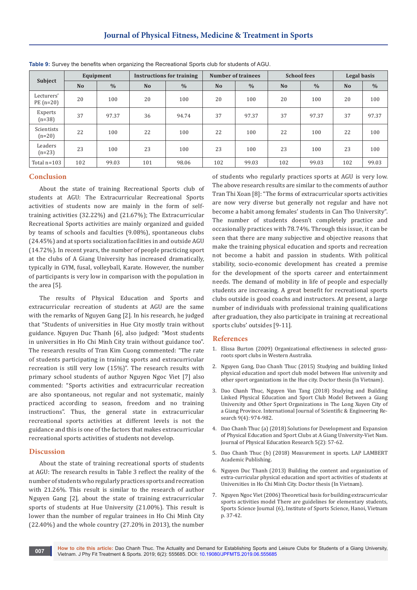|                          |                | Equipment     |                | <b>Instructions for training</b> |                | <b>Number of trainees</b> | <b>School fees</b> |               | Legal basis    |               |  |
|--------------------------|----------------|---------------|----------------|----------------------------------|----------------|---------------------------|--------------------|---------------|----------------|---------------|--|
| Subject                  | N <sub>o</sub> | $\frac{0}{0}$ | N <sub>o</sub> | $\frac{0}{0}$                    | N <sub>o</sub> | $\frac{0}{0}$             | N <sub>o</sub>     | $\frac{0}{0}$ | N <sub>o</sub> | $\frac{0}{0}$ |  |
| Lecturers'<br>$PE(n=20)$ | 20             | 100           | 20             | 100                              | 20             | 100                       | 20                 | 100           | 20             | 100           |  |
| Experts<br>$(n=38)$      | 37             | 97.37         | 36             | 94.74                            | 37             | 97.37                     | 37                 | 97.37         | 37             | 97.37         |  |
| Scientists<br>$(n=20)$   | 22             | 100           | 22             | 100                              | 22             | 100                       | 22                 | 100           | 22             | 100           |  |
| Leaders<br>$(n=23)$      | 23             | 100           | 23             | 100                              | 23             | 100                       | 23                 | 100           | 23             | 100           |  |
| Total $n=103$            | 102            | 99.03         | 101            | 98.06                            | 102            | 99.03                     | 102                | 99.03         | 102            | 99.03         |  |

**Table 9:** Survey the benefits when organizing the Recreational Sports club for students of AGU.

#### **Conclusion**

About the state of training Recreational Sports club of students at AGU: The Extracurricular Recreational Sports activities of students now are mainly in the form of selftraining activities (32.22%) and (21.67%); The Extracurricular Recreational Sports activities are mainly organized and guided by teams of schools and faculties (9.08%), spontaneous clubs (24.45%) and at sports socialization facilities in and outside AGU (14.72%). In recent years, the number of people practicing sport at the clubs of A Giang University has increased dramatically, typically in GYM, fusal, volleyball, Karate. However, the number of participants is very low in comparison with the population in the area [5].

The results of Physical Education and Sports and extracurricular recreation of students at AGU are the same with the remarks of Nguyen Gang [2]. In his research, he judged that "Students of universities in Hue City mostly train without guidance. Nguyen Duc Thanh [6], also judged: "Most students in universities in Ho Chi Minh City train without guidance too". The research results of Tran Kim Cuong commented: "The rate of students participating in training sports and extracurricular recreation is still very low (15%)". The research results with primary school students of author Nguyen Ngoc Viet [7] also commented: "Sports activities and extracurricular recreation are also spontaneous, not regular and not systematic, mainly practiced according to season, freedom and no training instructions". Thus, the general state in extracurricular recreational sports activities at different levels is not the guidance and this is one of the factors that makes extracurricular recreational sports activities of students not develop.

#### **Discussion**

About the state of training recreational sports of students at AGU: The research results in Table 3 reflect the reality of the number of students who regularly practices sports and recreation with 21.26%. This result is similar to the research of author Nguyen Gang [2], about the state of training extracurricular sports of students at Hue University (21.00%). This result is lower than the number of regular trainees in Ho Chi Minh City (22.40%) and the whole country (27.20% in 2013), the number of students who regularly practices sports at AGU is very low. The above research results are similar to the comments of author Tran Thi Xoan [8]: "The forms of extracurricular sports activities are now very diverse but generally not regular and have not become a habit among females' students in Can Tho University". The number of students doesn't completely practice and occasionally practices with 78.74%. Through this issue, it can be seen that there are many subjective and objective reasons that make the training physical education and sports and recreation not become a habit and passion in students. With political stability, socio-economic development has created a premise for the development of the sports career and entertainment needs. The demand of mobility in life of people and especially students are increasing. A great benefit for recreational sports clubs outside is good coachs and instructors. At present, a large number of individuals with professional training qualifications after graduation, they also participate in training at recreational sports clubs' outsides [9-11].

#### **References**

- 1. [Elissa Burton \(2009\) Organizational effectiveness in selected grass](https://ro.ecu.edu.au/cgi/viewcontent.cgi?article=1011&context=theses)[roots sport clubs in Western Australia.](https://ro.ecu.edu.au/cgi/viewcontent.cgi?article=1011&context=theses)
- 2. Nguyen Gang, Dao Chanh Thuc (2015) Studying and building linked physical education and sport club model between Hue university and other sport organizations in the Hue city. Doctor thesis (In Vietnam).
- 3. [Dao Chanh Thuc, Nguyen Van Tang \(2018\) Studying and Building](https://www.ijser.org/researchpaper/STUDYING-AND-BUILDING-LINKED-PHYSICAL-EDUCATION-AND-SPORT-CLUB-MODEL-BETWEEN-AN-GIANG-UNIVERSITY-AND-OTHER-SPORT-ORGANIZATIONS-IN-THE-LONG-XUYEN-CITY-OF-AN-GIANG-PROVINCE.pdf)  [Linked Physical Education and Sport Club Model Between a Giang](https://www.ijser.org/researchpaper/STUDYING-AND-BUILDING-LINKED-PHYSICAL-EDUCATION-AND-SPORT-CLUB-MODEL-BETWEEN-AN-GIANG-UNIVERSITY-AND-OTHER-SPORT-ORGANIZATIONS-IN-THE-LONG-XUYEN-CITY-OF-AN-GIANG-PROVINCE.pdf)  [University and Other Sport Organizations in The Long Xuyen City of](https://www.ijser.org/researchpaper/STUDYING-AND-BUILDING-LINKED-PHYSICAL-EDUCATION-AND-SPORT-CLUB-MODEL-BETWEEN-AN-GIANG-UNIVERSITY-AND-OTHER-SPORT-ORGANIZATIONS-IN-THE-LONG-XUYEN-CITY-OF-AN-GIANG-PROVINCE.pdf)  [a Giang Province. International Journal of Scientific & Engineering Re](https://www.ijser.org/researchpaper/STUDYING-AND-BUILDING-LINKED-PHYSICAL-EDUCATION-AND-SPORT-CLUB-MODEL-BETWEEN-AN-GIANG-UNIVERSITY-AND-OTHER-SPORT-ORGANIZATIONS-IN-THE-LONG-XUYEN-CITY-OF-AN-GIANG-PROVINCE.pdf)[search 9\(4\): 974-982.](https://www.ijser.org/researchpaper/STUDYING-AND-BUILDING-LINKED-PHYSICAL-EDUCATION-AND-SPORT-CLUB-MODEL-BETWEEN-AN-GIANG-UNIVERSITY-AND-OTHER-SPORT-ORGANIZATIONS-IN-THE-LONG-XUYEN-CITY-OF-AN-GIANG-PROVINCE.pdf)
- 4. Dao Chanh Thuc (a) (2018) Solutions for Development and Expansion of Physical Education and Sport Clubs at A Giang University-Viet Nam. Journal of Physical Education Research 5(2): 57-62.
- 5. Dao Chanh Thuc (b) (2018) Measurement in sports. LAP LAMBERT Academic Publishing.
- 6. Nguyen Duc Thanh (2013) Building the content and organization of extra-curricular physical education and sport activities of students at Universities in Ho Chi Minh City. Doctor thesis (In Vietnam).
- 7. Nguyen Ngoc Viet (2006) Theoretical basis for building extracurricular sports activities model There are guidelines for elementary students, Sports Science Journal (6), Institute of Sports Science, Hanoi, Vietnam p. 37-42.